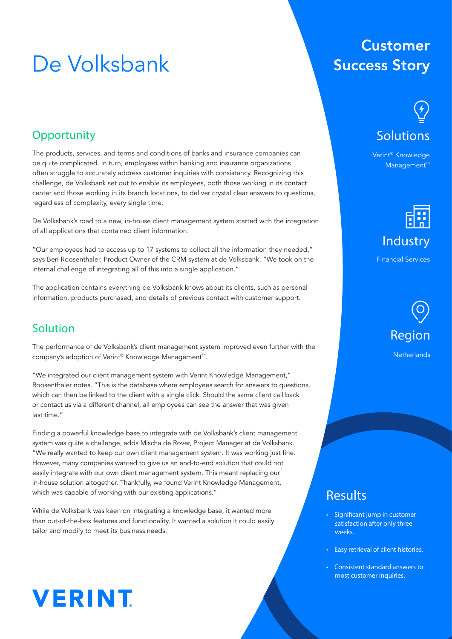## De Volksbank

### **Customer Success Story**

### **Opportunity**

The products, services, and terms and conditions of banks and insurance companies can be quite complicated. In turn, employees within banking and insurance organizations often struggle to accurately address customer inquiries with consistency. Recognizing this challenge, de Volksbank set out to enable its employees, both those working in its contact center and those working in its branch locations, to deliver crystal clear answers to questions, regardless of complexity, every single time.

De Volksbank's road to a new, in-house client management system started with the integration of all applications that contained client information.

"Our employees had to access up to 17 systems to collect all the information they needed," says Ben Roosenthaler, Product Owner of the CRM system at de Volksbank. "We took on the internal challenge of integrating all of this into a single application."

The application contains everything de Volksbank knows about its clients, such as personal information, products purchased, and details of previous contact with customer support.

### Solution

The performance of de Volksbank's client management system improved even further with the company's adoption of Verint® Knowledge Management™.

"We integrated our client management system with Verint Knowledge Management," Roosenthaler notes. "This is the database where employees search for answers to questions, which can then be linked to the client with a single click. Should the same client call back or contact us via a different channel, all employees can see the answer that was given last time."

Finding a powerful knowledge base to integrate with de Volksbank's client management system was quite a challenge, adds Mischa de Rover, Project Manager at de Volksbank. "We really wanted to keep our own client management system. It was working just fine. However, many companies wanted to give us an end-to-end solution that could not easily integrate with our own client management system. This meant replacing our in-house solution altogether. Thankfully, we found Verint Knowledge Management, which was capable of working with our existing applications."

While de Volksbank was keen on integrating a knowledge base, it wanted more than out-of-the-box features and functionality. It wanted a solution it could easily tailor and modify to meet its business needs.

## **VERINT**

# **Solutions**

Verint® Knowledge Management™



Financial Services



### Results

- Significant jump in customer satisfaction after only three weeks.
- Easy retrieval of client histories.
- Consistent standard answers to most customer inquiries.